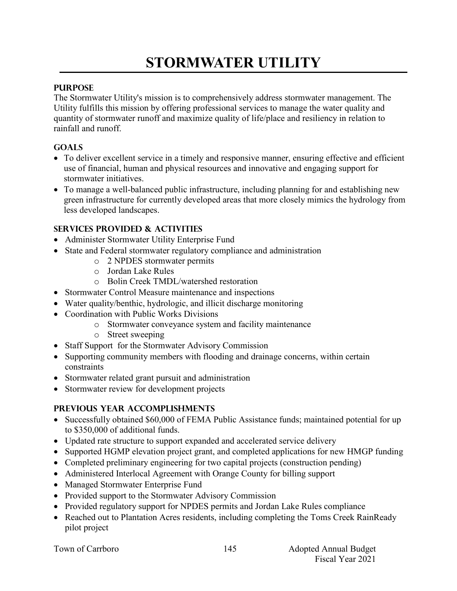# **STORMWATER UTILITY**

### **PURPOSE**

The Stormwater Utility's mission is to comprehensively address stormwater management. The Utility fulfills this mission by offering professional services to manage the water quality and quantity of stormwater runoff and maximize quality of life/place and resiliency in relation to rainfall and runoff.

### **GOALS**

- To deliver excellent service in a timely and responsive manner, ensuring effective and efficient use of financial, human and physical resources and innovative and engaging support for stormwater initiatives.
- To manage a well-balanced public infrastructure, including planning for and establishing new green infrastructure for currently developed areas that more closely mimics the hydrology from less developed landscapes.

# **SERVICES PROVIDED & ACTIVITIES**

- Administer Stormwater Utility Enterprise Fund
- State and Federal stormwater regulatory compliance and administration
	- o 2 NPDES stormwater permits
	- o Jordan Lake Rules
	- o Bolin Creek TMDL/watershed restoration
- Stormwater Control Measure maintenance and inspections
- Water quality/benthic, hydrologic, and illicit discharge monitoring
- Coordination with Public Works Divisions
	- o Stormwater conveyance system and facility maintenance
	- o Street sweeping
- Staff Support for the Stormwater Advisory Commission
- Supporting community members with flooding and drainage concerns, within certain constraints
- Stormwater related grant pursuit and administration
- Stormwater review for development projects

# **PREVIOUS YEAR ACCOMPLISHMENTS**

- Successfully obtained \$60,000 of FEMA Public Assistance funds; maintained potential for up to \$350,000 of additional funds.
- Updated rate structure to support expanded and accelerated service delivery
- Supported HGMP elevation project grant, and completed applications for new HMGP funding
- Completed preliminary engineering for two capital projects (construction pending)
- Administered Interlocal Agreement with Orange County for billing support
- Managed Stormwater Enterprise Fund
- Provided support to the Stormwater Advisory Commission
- Provided regulatory support for NPDES permits and Jordan Lake Rules compliance
- Reached out to Plantation Acres residents, including completing the Toms Creek RainReady pilot project

|  |  | Town of Carrboro |
|--|--|------------------|
|--|--|------------------|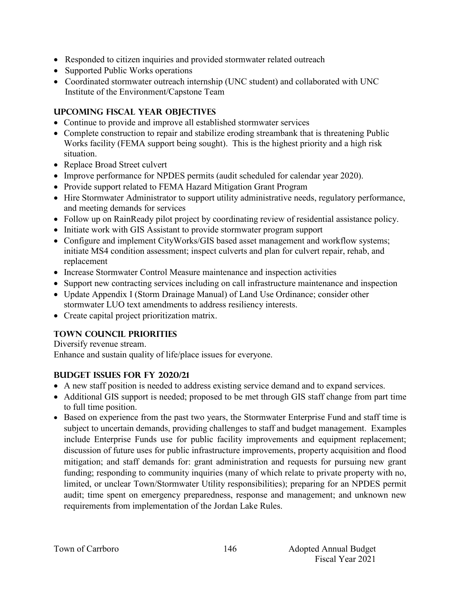- Responded to citizen inquiries and provided stormwater related outreach
- Supported Public Works operations
- Coordinated stormwater outreach internship (UNC student) and collaborated with UNC Institute of the Environment/Capstone Team

#### **UPCOMING FISCAL YEAR OBJECTIVES**

- Continue to provide and improve all established stormwater services
- Complete construction to repair and stabilize eroding streambank that is threatening Public Works facility (FEMA support being sought). This is the highest priority and a high risk situation.
- Replace Broad Street culvert
- Improve performance for NPDES permits (audit scheduled for calendar year 2020).
- Provide support related to FEMA Hazard Mitigation Grant Program
- Hire Stormwater Administrator to support utility administrative needs, regulatory performance, and meeting demands for services
- Follow up on RainReady pilot project by coordinating review of residential assistance policy.
- Initiate work with GIS Assistant to provide stormwater program support
- Configure and implement CityWorks/GIS based asset management and workflow systems; initiate MS4 condition assessment; inspect culverts and plan for culvert repair, rehab, and replacement
- Increase Stormwater Control Measure maintenance and inspection activities
- Support new contracting services including on call infrastructure maintenance and inspection
- Update Appendix I (Storm Drainage Manual) of Land Use Ordinance; consider other stormwater LUO text amendments to address resiliency interests.
- Create capital project prioritization matrix.

# **TOWN COUNCIL PRIORITIES**

Diversify revenue stream. Enhance and sustain quality of life/place issues for everyone.

# **Budget issues for fy 2020/21**

- A new staff position is needed to address existing service demand and to expand services.
- Additional GIS support is needed; proposed to be met through GIS staff change from part time to full time position.
- Based on experience from the past two years, the Stormwater Enterprise Fund and staff time is subject to uncertain demands, providing challenges to staff and budget management. Examples include Enterprise Funds use for public facility improvements and equipment replacement; discussion of future uses for public infrastructure improvements, property acquisition and flood mitigation; and staff demands for: grant administration and requests for pursuing new grant funding; responding to community inquiries (many of which relate to private property with no, limited, or unclear Town/Stormwater Utility responsibilities); preparing for an NPDES permit audit; time spent on emergency preparedness, response and management; and unknown new requirements from implementation of the Jordan Lake Rules.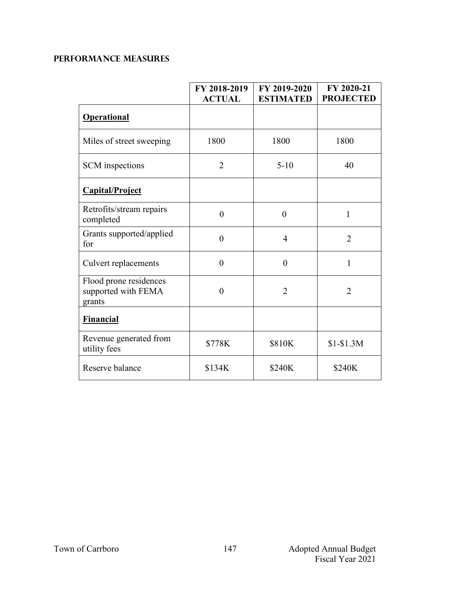# **PERFORMANCE MEASURES**

|                                                         | FY 2018-2019<br><b>ACTUAL</b> | FY 2019-2020<br><b>ESTIMATED</b> | FY 2020-21<br><b>PROJECTED</b> |
|---------------------------------------------------------|-------------------------------|----------------------------------|--------------------------------|
| <b>Operational</b>                                      |                               |                                  |                                |
| Miles of street sweeping                                | 1800                          | 1800                             | 1800                           |
| <b>SCM</b> inspections                                  | $\overline{2}$                | $5-10$                           | 40                             |
| Capital/Project                                         |                               |                                  |                                |
| Retrofits/stream repairs<br>completed                   | $\theta$                      | $\theta$                         | 1                              |
| Grants supported/applied<br>for                         | $\theta$                      | $\overline{4}$                   | $\overline{2}$                 |
| <b>Culvert replacements</b>                             | $\theta$                      | $\theta$                         | 1                              |
| Flood prone residences<br>supported with FEMA<br>grants | $\theta$                      | $\overline{2}$                   | $\overline{2}$                 |
| <b>Financial</b>                                        |                               |                                  |                                |
| Revenue generated from<br>utility fees                  | \$778K                        | \$810K                           | $$1-$1.3M$                     |
| Reserve balance                                         | \$134K                        | \$240K                           | \$240K                         |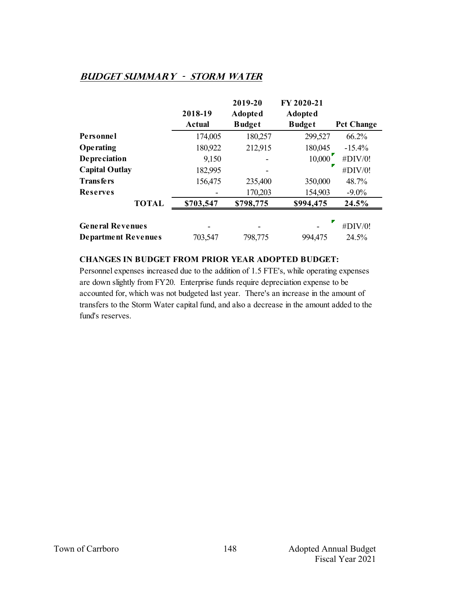#### **Budget summary - Storm Water**

|                            |           | 2019-20        | FY 2020-21    |                   |
|----------------------------|-----------|----------------|---------------|-------------------|
|                            | 2018-19   | <b>Adopted</b> | Adopted       |                   |
|                            | Actual    | <b>Budget</b>  | <b>Budget</b> | <b>Pct Change</b> |
| Personnel                  | 174,005   | 180,257        | 299,527       | 66.2%             |
| Operating                  | 180,922   | 212,915        | 180,045       | $-15.4%$          |
| <b>Depreciation</b>        | 9,150     |                | 10,000        | #DIV/0!           |
| <b>Capital Outlay</b>      | 182,995   |                |               | #DIV/0!           |
| <b>Transfers</b>           | 156,475   | 235,400        | 350,000       | 48.7%             |
| <b>Reserves</b>            |           | 170,203        | 154,903       | $-9.0\%$          |
| <b>TOTAL</b>               | \$703,547 | \$798,775      | \$994,475     | 24.5%             |
|                            |           |                | ▼             |                   |
| <b>General Revenues</b>    |           |                |               | #DIV/0!           |
| <b>Department Revenues</b> | 703,547   | 798,775        | 994,475       | 24.5%             |

#### **CHANGES IN BUDGET FROM PRIOR YEAR ADOPTED BUDGET:**

Personnel expenses increased due to the addition of 1.5 FTE's, while operating expenses are down slightly from FY20. Enterprise funds require depreciation expense to be accounted for, which was not budgeted last year. There's an increase in the amount of transfers to the Storm Water capital fund, and also a decrease in the amount added to the fund's reserves.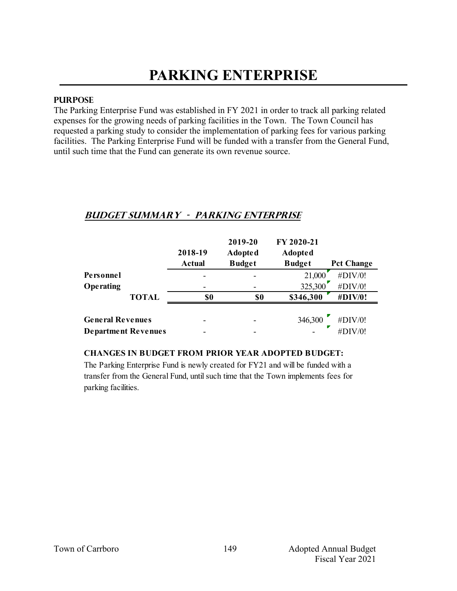# **PARKING ENTERPRISE**

#### **PURPOSE**

The Parking Enterprise Fund was established in FY 2021 in order to track all parking related expenses for the growing needs of parking facilities in the Town. The Town Council has requested a parking study to consider the implementation of parking fees for various parking facilities. The Parking Enterprise Fund will be funded with a transfer from the General Fund, until such time that the Fund can generate its own revenue source.

# **Budget summary - PARKING ENTERPRISE**

|                            |              | 2018-19       | 2019-20<br><b>Adopted</b> | FY 2020-21<br><b>Adopted</b> |                   |
|----------------------------|--------------|---------------|---------------------------|------------------------------|-------------------|
|                            |              | <b>Actual</b> | <b>Budget</b>             | <b>Budget</b>                | <b>Pct Change</b> |
| Personnel                  |              |               |                           | 21,000                       | #DIV/0!           |
| Operating                  |              |               |                           | 325,300                      | #DIV/0!           |
|                            | <b>TOTAL</b> | \$0           | \$0                       | \$346,300                    | #DIV/0!           |
| <b>General Revenues</b>    |              |               |                           | 346,300                      | #DIV/0!           |
| <b>Department Revenues</b> |              |               |                           |                              | #DIV/0!           |

#### **CHANGES IN BUDGET FROM PRIOR YEAR ADOPTED BUDGET:**

The Parking Enterprise Fund is newly created for FY21 and will be funded with a transfer from the General Fund, until such time that the Town implements fees for parking facilities.